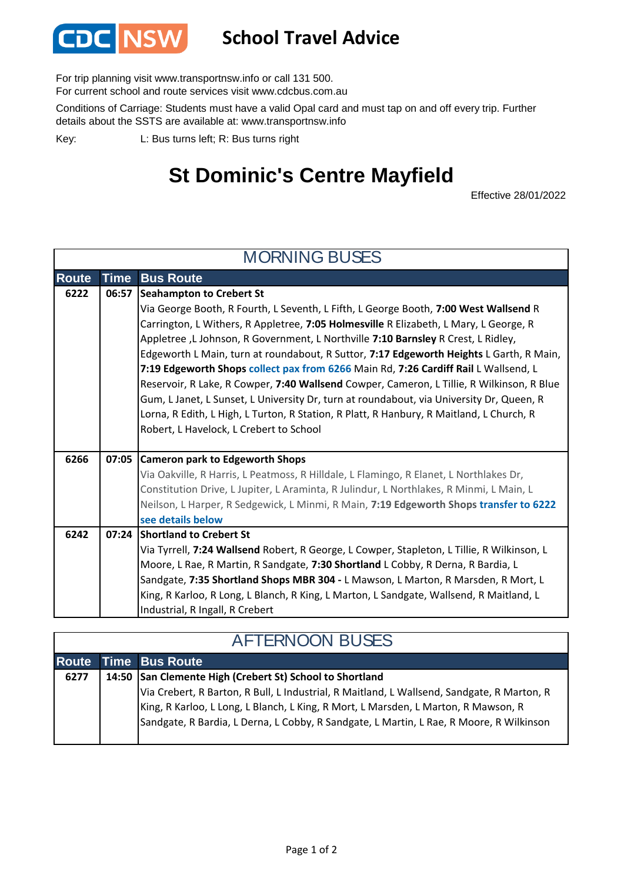

## **School Travel Advice**

For trip planning visit www.transportnsw.info or call 131 500.

For current school and route services visit www.cdcbus.com.au

Conditions of Carriage: Students must have a valid Opal card and must tap on and off every trip. Further details about the SSTS are available at: www.transportnsw.info

L: Bus turns left; R: Bus turns right Key:

## **St Dominic's Centre Mayfield**

Effective 28/01/2022

| <b>MORNING BUSES</b> |                                                                                            |  |
|----------------------|--------------------------------------------------------------------------------------------|--|
| <b>Time</b>          | <b>Bus Route</b>                                                                           |  |
| 06:57                | Seahampton to Crebert St                                                                   |  |
|                      | Via George Booth, R Fourth, L Seventh, L Fifth, L George Booth, 7:00 West Wallsend R       |  |
|                      | Carrington, L Withers, R Appletree, 7:05 Holmesville R Elizabeth, L Mary, L George, R      |  |
|                      | Appletree, L Johnson, R Government, L Northville 7:10 Barnsley R Crest, L Ridley,          |  |
|                      | Edgeworth L Main, turn at roundabout, R Suttor, 7:17 Edgeworth Heights L Garth, R Main,    |  |
|                      | 7:19 Edgeworth Shops collect pax from 6266 Main Rd, 7:26 Cardiff Rail L Wallsend, L        |  |
|                      | Reservoir, R Lake, R Cowper, 7:40 Wallsend Cowper, Cameron, L Tillie, R Wilkinson, R Blue  |  |
|                      | Gum, L Janet, L Sunset, L University Dr, turn at roundabout, via University Dr, Queen, R   |  |
|                      | Lorna, R Edith, L High, L Turton, R Station, R Platt, R Hanbury, R Maitland, L Church, R   |  |
|                      | Robert, L Havelock, L Crebert to School                                                    |  |
|                      | 07:05 Cameron park to Edgeworth Shops                                                      |  |
|                      | Via Oakville, R Harris, L Peatmoss, R Hilldale, L Flamingo, R Elanet, L Northlakes Dr,     |  |
|                      | Constitution Drive, L Jupiter, L Araminta, R Julindur, L Northlakes, R Minmi, L Main, L    |  |
|                      | Neilson, L Harper, R Sedgewick, L Minmi, R Main, 7:19 Edgeworth Shops transfer to 6222     |  |
|                      | see details below                                                                          |  |
| 07:24                | <b>Shortland to Crebert St</b>                                                             |  |
|                      | Via Tyrrell, 7:24 Wallsend Robert, R George, L Cowper, Stapleton, L Tillie, R Wilkinson, L |  |
|                      | Moore, L Rae, R Martin, R Sandgate, 7:30 Shortland L Cobby, R Derna, R Bardia, L           |  |
|                      | Sandgate, 7:35 Shortland Shops MBR 304 - L Mawson, L Marton, R Marsden, R Mort, L          |  |
|                      | King, R Karloo, R Long, L Blanch, R King, L Marton, L Sandgate, Wallsend, R Maitland, L    |  |
|                      | Industrial, R Ingall, R Crebert                                                            |  |
|                      |                                                                                            |  |

| <b>AFTERNOON BUSES</b> |  |                                                                                                                                                                                                                                                                                                                                         |
|------------------------|--|-----------------------------------------------------------------------------------------------------------------------------------------------------------------------------------------------------------------------------------------------------------------------------------------------------------------------------------------|
|                        |  | <b>Route Time Bus Route</b>                                                                                                                                                                                                                                                                                                             |
| 6277                   |  | 14:50 San Clemente High (Crebert St) School to Shortland<br>Via Crebert, R Barton, R Bull, L Industrial, R Maitland, L Wallsend, Sandgate, R Marton, R<br>King, R Karloo, L Long, L Blanch, L King, R Mort, L Marsden, L Marton, R Mawson, R<br>Sandgate, R Bardia, L Derna, L Cobby, R Sandgate, L Martin, L Rae, R Moore, R Wilkinson |